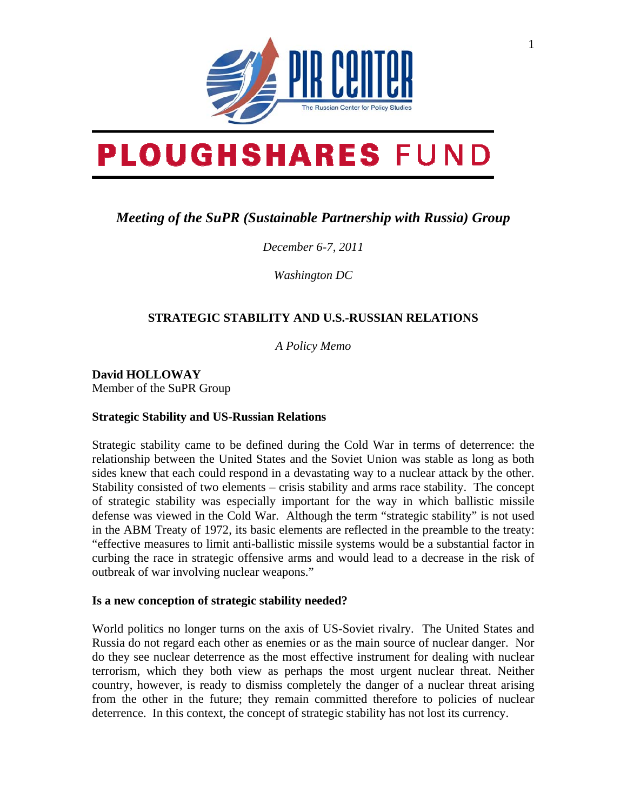

# **PLOUGHSHARES FUND**

# *Meeting of the SuPR (Sustainable Partnership with Russia) Group*

*December 6-7, 2011* 

*Washington DC* 

## **STRATEGIC STABILITY AND U.S.-RUSSIAN RELATIONS**

*A Policy Memo* 

**David HOLLOWAY**  Member of the SuPR Group

### **Strategic Stability and US-Russian Relations**

Strategic stability came to be defined during the Cold War in terms of deterrence: the relationship between the United States and the Soviet Union was stable as long as both sides knew that each could respond in a devastating way to a nuclear attack by the other. Stability consisted of two elements – crisis stability and arms race stability. The concept of strategic stability was especially important for the way in which ballistic missile defense was viewed in the Cold War. Although the term "strategic stability" is not used in the ABM Treaty of 1972, its basic elements are reflected in the preamble to the treaty: "effective measures to limit anti-ballistic missile systems would be a substantial factor in curbing the race in strategic offensive arms and would lead to a decrease in the risk of outbreak of war involving nuclear weapons."

### **Is a new conception of strategic stability needed?**

World politics no longer turns on the axis of US-Soviet rivalry. The United States and Russia do not regard each other as enemies or as the main source of nuclear danger. Nor do they see nuclear deterrence as the most effective instrument for dealing with nuclear terrorism, which they both view as perhaps the most urgent nuclear threat. Neither country, however, is ready to dismiss completely the danger of a nuclear threat arising from the other in the future; they remain committed therefore to policies of nuclear deterrence. In this context, the concept of strategic stability has not lost its currency.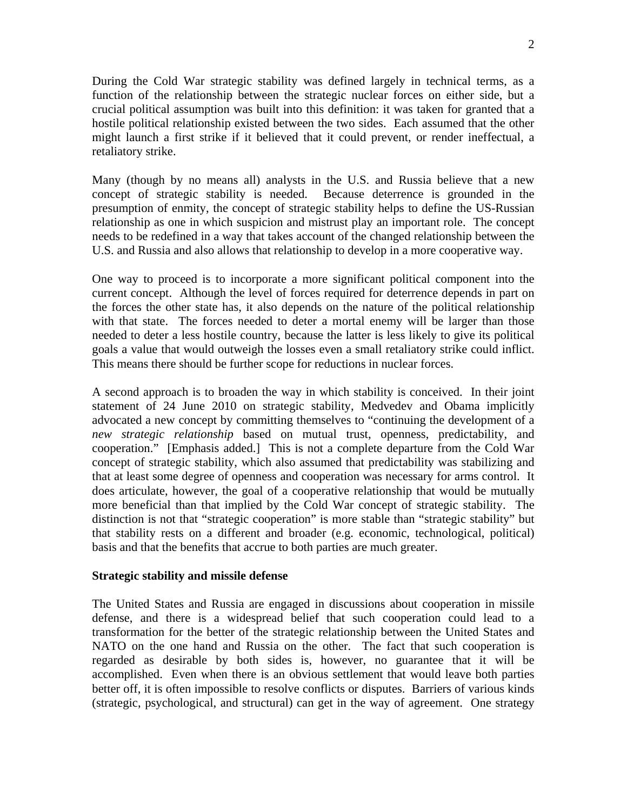During the Cold War strategic stability was defined largely in technical terms, as a function of the relationship between the strategic nuclear forces on either side, but a crucial political assumption was built into this definition: it was taken for granted that a hostile political relationship existed between the two sides. Each assumed that the other might launch a first strike if it believed that it could prevent, or render ineffectual, a retaliatory strike.

Many (though by no means all) analysts in the U.S. and Russia believe that a new concept of strategic stability is needed. Because deterrence is grounded in the presumption of enmity, the concept of strategic stability helps to define the US-Russian relationship as one in which suspicion and mistrust play an important role. The concept needs to be redefined in a way that takes account of the changed relationship between the U.S. and Russia and also allows that relationship to develop in a more cooperative way.

One way to proceed is to incorporate a more significant political component into the current concept. Although the level of forces required for deterrence depends in part on the forces the other state has, it also depends on the nature of the political relationship with that state. The forces needed to deter a mortal enemy will be larger than those needed to deter a less hostile country, because the latter is less likely to give its political goals a value that would outweigh the losses even a small retaliatory strike could inflict. This means there should be further scope for reductions in nuclear forces.

A second approach is to broaden the way in which stability is conceived. In their joint statement of 24 June 2010 on strategic stability, Medvedev and Obama implicitly advocated a new concept by committing themselves to "continuing the development of a *new strategic relationship* based on mutual trust, openness, predictability, and cooperation." [Emphasis added.] This is not a complete departure from the Cold War concept of strategic stability, which also assumed that predictability was stabilizing and that at least some degree of openness and cooperation was necessary for arms control. It does articulate, however, the goal of a cooperative relationship that would be mutually more beneficial than that implied by the Cold War concept of strategic stability. The distinction is not that "strategic cooperation" is more stable than "strategic stability" but that stability rests on a different and broader (e.g. economic, technological, political) basis and that the benefits that accrue to both parties are much greater.

#### **Strategic stability and missile defense**

The United States and Russia are engaged in discussions about cooperation in missile defense, and there is a widespread belief that such cooperation could lead to a transformation for the better of the strategic relationship between the United States and NATO on the one hand and Russia on the other. The fact that such cooperation is regarded as desirable by both sides is, however, no guarantee that it will be accomplished. Even when there is an obvious settlement that would leave both parties better off, it is often impossible to resolve conflicts or disputes. Barriers of various kinds (strategic, psychological, and structural) can get in the way of agreement. One strategy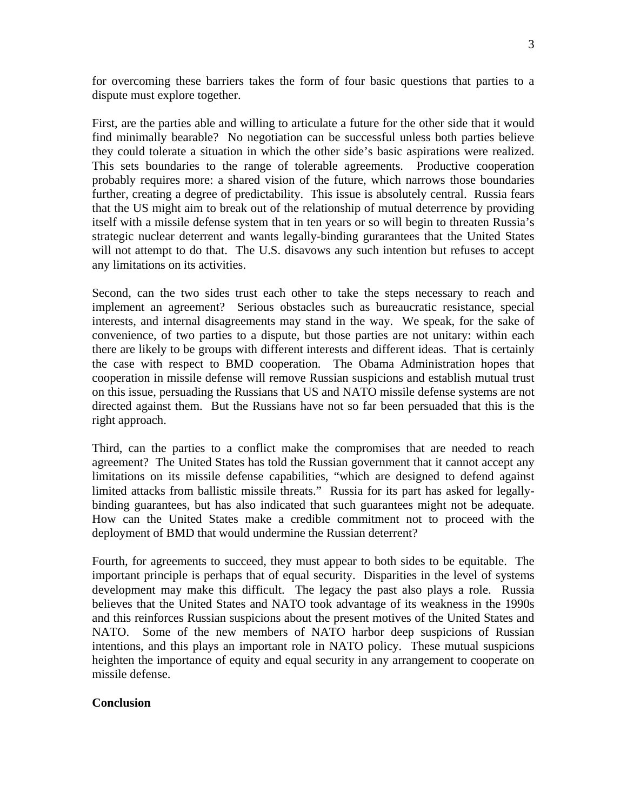for overcoming these barriers takes the form of four basic questions that parties to a dispute must explore together.

First, are the parties able and willing to articulate a future for the other side that it would find minimally bearable? No negotiation can be successful unless both parties believe they could tolerate a situation in which the other side's basic aspirations were realized. This sets boundaries to the range of tolerable agreements. Productive cooperation probably requires more: a shared vision of the future, which narrows those boundaries further, creating a degree of predictability. This issue is absolutely central. Russia fears that the US might aim to break out of the relationship of mutual deterrence by providing itself with a missile defense system that in ten years or so will begin to threaten Russia's strategic nuclear deterrent and wants legally-binding gurarantees that the United States will not attempt to do that. The U.S. disavows any such intention but refuses to accept any limitations on its activities.

Second, can the two sides trust each other to take the steps necessary to reach and implement an agreement? Serious obstacles such as bureaucratic resistance, special interests, and internal disagreements may stand in the way. We speak, for the sake of convenience, of two parties to a dispute, but those parties are not unitary: within each there are likely to be groups with different interests and different ideas. That is certainly the case with respect to BMD cooperation. The Obama Administration hopes that cooperation in missile defense will remove Russian suspicions and establish mutual trust on this issue, persuading the Russians that US and NATO missile defense systems are not directed against them. But the Russians have not so far been persuaded that this is the right approach.

Third, can the parties to a conflict make the compromises that are needed to reach agreement? The United States has told the Russian government that it cannot accept any limitations on its missile defense capabilities, "which are designed to defend against limited attacks from ballistic missile threats." Russia for its part has asked for legallybinding guarantees, but has also indicated that such guarantees might not be adequate. How can the United States make a credible commitment not to proceed with the deployment of BMD that would undermine the Russian deterrent?

Fourth, for agreements to succeed, they must appear to both sides to be equitable. The important principle is perhaps that of equal security. Disparities in the level of systems development may make this difficult. The legacy the past also plays a role. Russia believes that the United States and NATO took advantage of its weakness in the 1990s and this reinforces Russian suspicions about the present motives of the United States and NATO. Some of the new members of NATO harbor deep suspicions of Russian intentions, and this plays an important role in NATO policy. These mutual suspicions heighten the importance of equity and equal security in any arrangement to cooperate on missile defense.

#### **Conclusion**